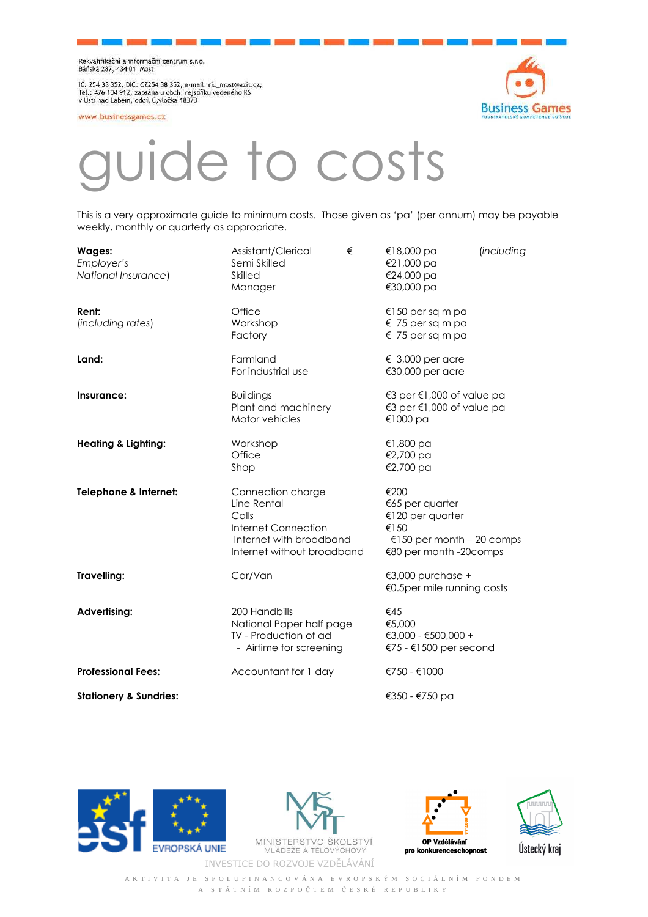Rekvalifikační a informační centrum s.r.o.<br>Báňská 287, 434 01 Most

IČ: 254 38 352, DIČ: CZ254 38 352, e-mail: ric\_most@azit.cz,<br>Tel.: 476 104 912, zapsána u obch. rejstříku vedeného KS<br>v Ústí nad Labem, oddíl C,vložka 18373

www.businessgames.cz



## e to costs

This is a very approximate guide to minimum costs. Those given as 'pa' (per annum) may be payable weekly, monthly or quarterly as appropriate.

| <b>Wages:</b><br>Employer's<br>National Insurance) | Assistant/Clerical<br>€<br>Semi Skilled<br><b>Skilled</b><br>Manager                                                      | €18,000 pa<br><i>(including</i><br>€21,000 pa<br>€24,000 pa<br>€30,000 pa                                  |
|----------------------------------------------------|---------------------------------------------------------------------------------------------------------------------------|------------------------------------------------------------------------------------------------------------|
| Rent:<br>(including rates)                         | Office<br>Workshop<br>Factory                                                                                             | €150 per sq m pa<br>$\epsilon$ 75 per sq m pa<br>$\epsilon$ 75 per sq m pa                                 |
| Land:                                              | Farmland<br>For industrial use                                                                                            | $\epsilon$ 3,000 per acre<br>€30,000 per acre                                                              |
| Insurance:                                         | <b>Buildings</b><br>Plant and machinery<br>Motor vehicles                                                                 | €3 per €1,000 of value pa<br>€3 per €1,000 of value pa<br>€1000 $pa$                                       |
| <b>Heating &amp; Lighting:</b>                     | Workshop<br>Office<br>Shop                                                                                                | €1,800 pa<br>€2,700 pa<br>€2,700 pa                                                                        |
| Telephone & Internet:                              | Connection charge<br>Line Rental<br>Calls<br>Internet Connection<br>Internet with broadband<br>Internet without broadband | €200<br>€65 per quarter<br>€120 per quarter<br>€150<br>€150 per month – 20 comps<br>€80 per month -20comps |
| Travelling:                                        | Car/Van                                                                                                                   | €3,000 purchase +<br>€0.5per mile running costs                                                            |
| <b>Advertising:</b>                                | 200 Handbills<br>National Paper half page<br>TV - Production of ad<br>- Airtime for screening                             | €45<br>€5,000<br>€3,000 - €500,000 +<br>€75 - €1500 per second                                             |
| <b>Professional Fees:</b>                          | Accountant for 1 day                                                                                                      | €750 - €1000                                                                                               |
| <b>Stationery &amp; Sundries:</b>                  |                                                                                                                           | €350 - €750 pa                                                                                             |





INVESTICE DO ROZVOJE VZDĚLÁVÁNÍ





A K T I V I T A J E S P O L U F I N A N C O V Á N A E V R O P S K Ý M S O C I Á L N Í M F O N D E M A S T Á T N Í M R O Z P O Č T E M Č E S K É R E P U B L I K Y